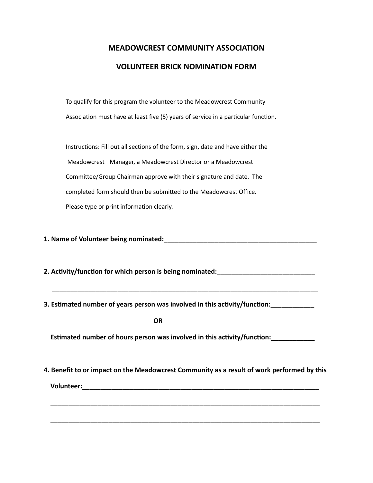## **MEADOWCREST COMMUNITY ASSOCIATION VOLUNTEER BRICK NOMINATION FORM**

To qualify for this program the volunteer to the Meadowcrest Community Association must have at least five (5) years of service in a particular function.

Instructions: Fill out all sections of the form, sign, date and have either the Meadowcrest Manager, a Meadowcrest Director or a Meadowcrest Committee/Group Chairman approve with their signature and date. The completed form should then be submitted to the Meadowcrest Office. Please type or print information clearly.

**1. Name of Volunteer being nominated:**\_\_\_\_\_\_\_\_\_\_\_\_\_\_\_\_\_\_\_\_\_\_\_\_\_\_\_\_\_\_\_\_\_\_\_\_\_\_\_\_\_\_

**2. Activity/function for which person is being nominated:**\_\_\_\_\_\_\_\_\_\_\_\_\_\_\_\_\_\_\_\_\_\_\_\_\_\_\_

**3. Estimated number of years person was involved in this activity/function:**\_\_\_\_\_\_\_\_\_\_\_\_

\_\_\_\_\_\_\_\_\_\_\_\_\_\_\_\_\_\_\_\_\_\_\_\_\_\_\_\_\_\_\_\_\_\_\_\_\_\_\_\_\_\_\_\_\_\_\_\_\_\_\_\_\_\_\_\_\_\_\_\_\_\_\_\_\_\_\_\_\_\_\_\_\_

**OR**

 **Estimated number of hours person was involved in this activity/function:**\_\_\_\_\_\_\_\_\_\_\_\_

**4. Benefit to or impact on the Meadowcrest Community as a result of work performed by this**

\_\_\_\_\_\_\_\_\_\_\_\_\_\_\_\_\_\_\_\_\_\_\_\_\_\_\_\_\_\_\_\_\_\_\_\_\_\_\_\_\_\_\_\_\_\_\_\_\_\_\_\_\_\_\_\_\_\_\_\_\_\_\_\_\_\_\_\_\_\_\_\_\_\_

\_\_\_\_\_\_\_\_\_\_\_\_\_\_\_\_\_\_\_\_\_\_\_\_\_\_\_\_\_\_\_\_\_\_\_\_\_\_\_\_\_\_\_\_\_\_\_\_\_\_\_\_\_\_\_\_\_\_\_\_\_\_\_\_\_\_\_\_\_\_\_\_\_\_

 **Volunteer:**\_\_\_\_\_\_\_\_\_\_\_\_\_\_\_\_\_\_\_\_\_\_\_\_\_\_\_\_\_\_\_\_\_\_\_\_\_\_\_\_\_\_\_\_\_\_\_\_\_\_\_\_\_\_\_\_\_\_\_\_\_\_\_\_\_